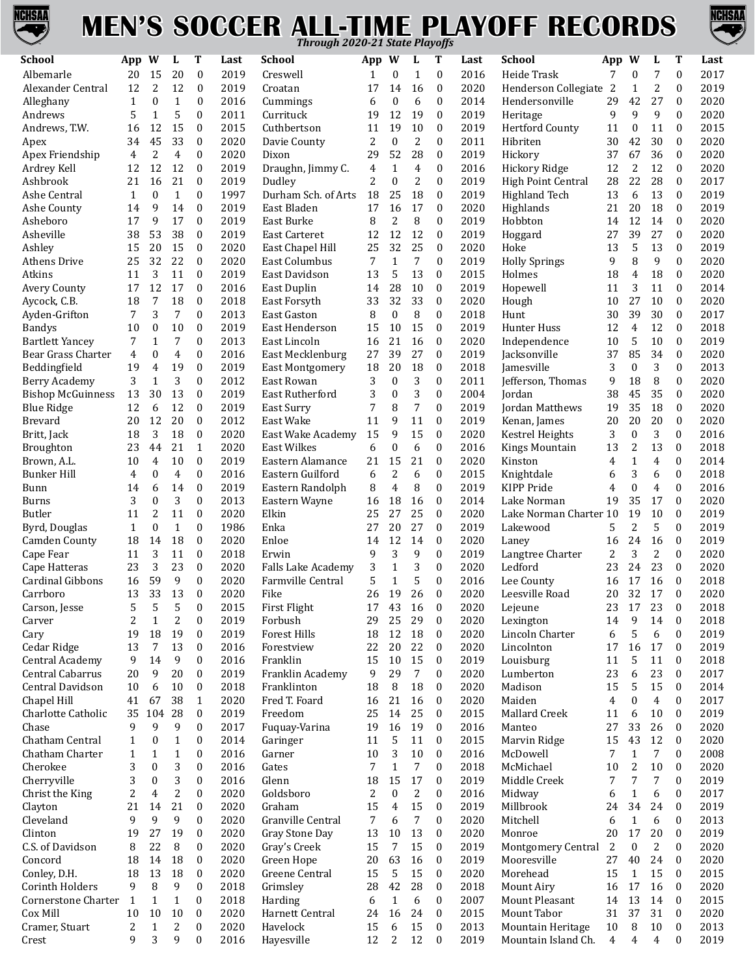

## **MEN'S SOCCER ALL-TIME PLAYOFF RECORDS** *Through 2020-21 State Playoffs*



| $\boldsymbol{0}$<br>2019<br>$\boldsymbol{0}$<br>7<br>7<br>Albemarle<br>20<br>15<br>20<br>Creswell<br>$\mathbf{0}$<br>$\mathbf{1}$<br>2016<br>Heide Trask<br>$\mathbf{0}$<br>$\mathbf{0}$<br>1<br>$\overline{c}$<br>2<br>12<br>$\boldsymbol{0}$<br>2019<br>$\boldsymbol{0}$<br>2020<br>$\mathbf{0}$<br>Alexander Central<br>12<br>Croatan<br>17<br>14<br>16<br>Henderson Collegiate<br>2<br>$\mathbf{1}$<br>$\boldsymbol{0}$<br>27<br>$\mathbf{1}$<br>$\mathbf{1}$<br>$\mathbf{0}$<br>2016<br>Cummings<br>$\boldsymbol{0}$<br>6<br>2014<br>Hendersonville<br>29<br>42<br>$\mathbf{0}$<br>Alleghany<br>$\mathbf{0}$<br>6<br>5<br>$\boldsymbol{0}$<br>9<br>9<br>5<br>$\mathbf{1}$<br>$\boldsymbol{0}$<br>2011<br>12<br>19<br>2019<br>9<br>$\mathbf{0}$<br>Andrews<br>Currituck<br>19<br>Heritage<br>12<br>15<br>$\boldsymbol{0}$<br>2015<br>19<br>10<br>$\boldsymbol{0}$<br><b>Hertford County</b><br>Andrews, T.W.<br>Cuthbertson<br>2019<br>11<br>$\boldsymbol{0}$<br>16<br>11<br>11<br>0<br>$\overline{c}$<br>45<br>33<br>$\boldsymbol{0}$<br>2020<br>2<br>$\boldsymbol{0}$<br>$\boldsymbol{0}$<br>2011<br>42<br>30<br>34<br>Davie County<br>Hibriten<br>30<br>$\boldsymbol{0}$<br>Apex<br>2<br>$\mathbf{0}$<br>2020<br>29<br>52<br>28<br>$\boldsymbol{0}$<br>2019<br>67<br>4<br>37<br>36<br>$\mathbf{0}$<br>Apex Friendship<br>4<br>Dixon<br>Hickory<br>Ardrey Kell<br>12<br>12<br>$\mathbf{0}$<br>2019<br>$\mathbf{1}$<br>$\boldsymbol{0}$<br>2<br>12<br>$\mathbf{0}$<br>12<br>Draughn, Jimmy C.<br>4<br>4<br>2016<br>Hickory Ridge<br>12<br>$\overline{c}$<br>21<br>$\overline{2}$<br>$\mathbf{0}$<br>$\boldsymbol{0}$<br>22<br>28<br>16<br>$\boldsymbol{0}$<br>2019<br>2019<br>$\boldsymbol{0}$<br>Ashbrook<br>21<br>Dudley<br>High Point Central<br>28<br>$\mathbf{0}$<br>$\mathbf{1}$<br>$\mathbf{0}$<br>1997<br>$\boldsymbol{0}$<br>2019<br>6<br>13<br>$\boldsymbol{0}$<br>Ashe Central<br>$\mathbf{1}$<br>Durham Sch. of Arts 18<br>25<br>18<br>Highland Tech<br>13<br>9<br>14<br>$\boldsymbol{0}$<br>2019<br>16<br>$\boldsymbol{0}$<br>2020<br>20<br>18<br>$\boldsymbol{0}$<br>East Bladen<br>17<br>17<br>Highlands<br>21<br>Ashe County<br>14<br>8<br>9<br>17<br>$\mathbf{0}$<br>2019<br>8<br>2<br>$\boldsymbol{0}$<br>2019<br>Hobbton<br>12<br>$\mathbf{0}$<br>Asheboro<br>17<br>East Burke<br>14<br>14<br>53<br>38<br>$\mathbf{0}$<br>2019<br>12<br>12<br>$\mathbf{0}$<br>39<br>27<br>$\mathbf{0}$<br>Asheville<br>38<br><b>East Carteret</b><br>12<br>2019<br>Hoggard<br>27<br>25<br>$\boldsymbol{0}$<br>20<br>15<br>$\boldsymbol{0}$<br>2020<br>32<br>2020<br>5<br>13<br>$\boldsymbol{0}$<br>Ashley<br>15<br>East Chapel Hill<br>25<br>Hoke<br>13<br>7<br>9<br>$\mathbf{1}$<br>32<br>22<br>$\boldsymbol{0}$<br>2020<br>7<br>$\boldsymbol{0}$<br>2019<br>9<br>8<br>$\boldsymbol{0}$<br><b>Athens Drive</b><br>25<br>East Columbus<br><b>Holly Springs</b><br>3<br>11<br>$\boldsymbol{0}$<br>2019<br>13<br>5<br>13<br>$\mathbf{0}$<br>2015<br>18<br>Atkins<br>11<br>East Davidson<br>Holmes<br>18<br>4<br>$\boldsymbol{0}$<br>12<br>17<br>$\boldsymbol{0}$<br>2016<br>28<br>10<br>$\mathbf{0}$<br>2019<br>3<br>$\boldsymbol{0}$<br><b>Avery County</b><br>17<br>East Duplin<br>Hopewell<br>11<br>14<br>11<br>7<br>18<br>$\boldsymbol{0}$<br>32<br>33<br>$\mathbf{0}$<br>27<br>10<br>$\boldsymbol{0}$<br>Aycock, C.B.<br>18<br>2018<br>East Forsyth<br>33<br>2020<br>Hough<br>10<br>3<br>8<br>7<br>$\boldsymbol{0}$<br>2013<br>8<br>$\boldsymbol{0}$<br>$\boldsymbol{0}$<br>2018<br>39<br>30<br>$\boldsymbol{0}$<br>7<br><b>East Gaston</b><br>Hunt<br>30<br>Ayden-Grifton<br>$\boldsymbol{0}$<br>10<br>$\boldsymbol{0}$<br>2019<br>15<br>$\boldsymbol{0}$<br>2019<br>Hunter Huss<br>$\overline{4}$<br>12<br>$\boldsymbol{0}$<br><b>Bandys</b><br>10<br>East Henderson<br>15<br>10<br>12<br>$\mathbf{1}$<br>7<br>$\boldsymbol{0}$<br>2013<br>21<br>16<br>$\boldsymbol{0}$<br>2020<br>5<br>10<br>$\boldsymbol{0}$<br><b>Bartlett Yancey</b><br>7<br>East Lincoln<br>16<br>Independence<br>10<br>85<br>$\overline{4}$<br>$\boldsymbol{0}$<br>$\boldsymbol{0}$<br>2016<br>27<br>39<br>27<br>$\mathbf{0}$<br>2019<br>37<br>34<br>$\boldsymbol{0}$<br>Bear Grass Charter<br>4<br>East Mecklenburg<br>Jacksonville<br>19<br>19<br>$\mathbf{0}$<br>2019<br>20<br>18<br>$\mathbf{0}$<br>3<br>$\boldsymbol{0}$<br>3<br>$\boldsymbol{0}$<br>Beddingfield<br>4<br><b>East Montgomery</b><br>18<br>2018<br>Jamesville<br>3<br>3<br>$\boldsymbol{0}$<br>8<br>$\mathbf{1}$<br>$\boldsymbol{0}$<br>2012<br>3<br>$\boldsymbol{0}$<br>2011<br>9<br>18<br>$\boldsymbol{0}$<br><b>Berry Academy</b><br>3<br>East Rowan<br>Jefferson, Thomas<br>3<br>$\boldsymbol{0}$<br>$\boldsymbol{0}$<br>30<br>13<br>$\boldsymbol{0}$<br>2019<br>3<br>2004<br>45<br>35<br>$\boldsymbol{0}$<br><b>Bishop McGuinness</b><br>13<br>East Rutherford<br>Jordan<br>38<br>8<br>7<br>12<br>$\boldsymbol{0}$<br>2019<br>$\boldsymbol{0}$<br>2019<br>35<br>18<br>2020<br><b>Blue Ridge</b><br>12<br>6<br>East Surry<br>7<br>Jordan Matthews<br>19<br>0<br>12<br>20<br>$\mathbf{0}$<br>2012<br>11<br>9<br>11<br>$\mathbf{0}$<br>2019<br>20<br>20<br>20<br>$\boldsymbol{0}$<br><b>Brevard</b><br>20<br>East Wake<br>Kenan, James<br>3<br>3<br>18<br>$\mathbf{0}$<br>2020<br>9<br>15<br>$\mathbf{0}$<br>2020<br>$\mathbf{0}$<br>$\boldsymbol{0}$<br>Britt, Jack<br>18<br>East Wake Academy<br>15<br>Kestrel Heights<br>3<br>21<br>6<br>44<br>2020<br>$\boldsymbol{0}$<br>$\boldsymbol{0}$<br>2016<br>13<br>$\boldsymbol{0}$<br>Broughton<br>23<br>1<br><b>East Wilkes</b><br>6<br>Kings Mountain<br>13<br>2<br>$\overline{4}$<br>10<br>$\mathbf{0}$<br>2019<br>15<br>21<br>$\boldsymbol{0}$<br>2020<br>$\mathbf{1}$<br>4<br>$\boldsymbol{0}$<br>Brown, A.L.<br>10<br>Eastern Alamance<br>21<br>Kinston<br>4<br>$\overline{2}$<br>6<br>3<br>$\overline{4}$<br>2016<br>$\boldsymbol{0}$<br>2015<br>6<br>$\boldsymbol{0}$<br><b>Bunker Hill</b><br>4<br>$\mathbf{0}$<br>$\mathbf{0}$<br>Eastern Guilford<br>6<br>Knightdale<br>6<br>8<br>6<br>$\boldsymbol{0}$<br>2019<br>4<br>$\boldsymbol{0}$<br>2019<br>KIPP Pride<br>$\boldsymbol{0}$<br>4<br>$\boldsymbol{0}$<br>14<br>Eastern Randolph<br>8<br>4<br>Bunn<br>14<br>3<br>3<br>$\mathbf{0}$<br>$\boldsymbol{0}$<br>2013<br>18<br>$\mathbf{0}$<br>2014<br>35<br>17<br>$\boldsymbol{0}$<br>Eastern Wayne<br>16<br>Lake Norman<br>19<br>Burns<br>16<br>Butler<br>$\overline{2}$<br>11<br>$\boldsymbol{0}$<br>2020<br>27<br>25<br>$\boldsymbol{0}$<br>2020<br>19<br>10<br>$\boldsymbol{0}$<br>11<br>Elkin<br>25<br>Lake Norman Charter 10 | 2017<br>2019<br>2020<br>2020<br>2015<br>2020<br>2020<br>2020<br>2017<br>2019<br>2019<br>2020<br>2020<br>2019<br>2020<br>2020<br>2014<br>2020<br>2017<br>2018<br>2019<br>2020<br>2013<br>2020<br>2020 |
|-----------------------------------------------------------------------------------------------------------------------------------------------------------------------------------------------------------------------------------------------------------------------------------------------------------------------------------------------------------------------------------------------------------------------------------------------------------------------------------------------------------------------------------------------------------------------------------------------------------------------------------------------------------------------------------------------------------------------------------------------------------------------------------------------------------------------------------------------------------------------------------------------------------------------------------------------------------------------------------------------------------------------------------------------------------------------------------------------------------------------------------------------------------------------------------------------------------------------------------------------------------------------------------------------------------------------------------------------------------------------------------------------------------------------------------------------------------------------------------------------------------------------------------------------------------------------------------------------------------------------------------------------------------------------------------------------------------------------------------------------------------------------------------------------------------------------------------------------------------------------------------------------------------------------------------------------------------------------------------------------------------------------------------------------------------------------------------------------------------------------------------------------------------------------------------------------------------------------------------------------------------------------------------------------------------------------------------------------------------------------------------------------------------------------------------------------------------------------------------------------------------------------------------------------------------------------------------------------------------------------------------------------------------------------------------------------------------------------------------------------------------------------------------------------------------------------------------------------------------------------------------------------------------------------------------------------------------------------------------------------------------------------------------------------------------------------------------------------------------------------------------------------------------------------------------------------------------------------------------------------------------------------------------------------------------------------------------------------------------------------------------------------------------------------------------------------------------------------------------------------------------------------------------------------------------------------------------------------------------------------------------------------------------------------------------------------------------------------------------------------------------------------------------------------------------------------------------------------------------------------------------------------------------------------------------------------------------------------------------------------------------------------------------------------------------------------------------------------------------------------------------------------------------------------------------------------------------------------------------------------------------------------------------------------------------------------------------------------------------------------------------------------------------------------------------------------------------------------------------------------------------------------------------------------------------------------------------------------------------------------------------------------------------------------------------------------------------------------------------------------------------------------------------------------------------------------------------------------------------------------------------------------------------------------------------------------------------------------------------------------------------------------------------------------------------------------------------------------------------------------------------------------------------------------------------------------------------------------------------------------------------------------------------------------------------------------------------------------------------------------------------------------------------------------------------------------------------------------------------------------------------------------------------------------------------------------------------------------------------------------------------------------------------------------------------------------------------------------------------------------------------------------------------------------------------------------------------------------------------------------------------------------------------------------------------------------------------------------------------------------------------------------------------------------------------------------------------------------------------------------------------------------------------------------------------------------------------------------------------------------------------------------------------------------------------------------------------------------------------------------------------------------------------------------------------------------------------------------------------------------------------------------------------------------------|------------------------------------------------------------------------------------------------------------------------------------------------------------------------------------------------------|
|                                                                                                                                                                                                                                                                                                                                                                                                                                                                                                                                                                                                                                                                                                                                                                                                                                                                                                                                                                                                                                                                                                                                                                                                                                                                                                                                                                                                                                                                                                                                                                                                                                                                                                                                                                                                                                                                                                                                                                                                                                                                                                                                                                                                                                                                                                                                                                                                                                                                                                                                                                                                                                                                                                                                                                                                                                                                                                                                                                                                                                                                                                                                                                                                                                                                                                                                                                                                                                                                                                                                                                                                                                                                                                                                                                                                                                                                                                                                                                                                                                                                                                                                                                                                                                                                                                                                                                                                                                                                                                                                                                                                                                                                                                                                                                                                                                                                                                                                                                                                                                                                                                                                                                                                                                                                                                                                                                                                                                                                                                                                                                                                                                                                                                                                                                                                                                                                                                                                                                                                                                                                                                                                                                                                                                                                                                                                                                                                                                                                                                                                                     |                                                                                                                                                                                                      |
|                                                                                                                                                                                                                                                                                                                                                                                                                                                                                                                                                                                                                                                                                                                                                                                                                                                                                                                                                                                                                                                                                                                                                                                                                                                                                                                                                                                                                                                                                                                                                                                                                                                                                                                                                                                                                                                                                                                                                                                                                                                                                                                                                                                                                                                                                                                                                                                                                                                                                                                                                                                                                                                                                                                                                                                                                                                                                                                                                                                                                                                                                                                                                                                                                                                                                                                                                                                                                                                                                                                                                                                                                                                                                                                                                                                                                                                                                                                                                                                                                                                                                                                                                                                                                                                                                                                                                                                                                                                                                                                                                                                                                                                                                                                                                                                                                                                                                                                                                                                                                                                                                                                                                                                                                                                                                                                                                                                                                                                                                                                                                                                                                                                                                                                                                                                                                                                                                                                                                                                                                                                                                                                                                                                                                                                                                                                                                                                                                                                                                                                                                     |                                                                                                                                                                                                      |
|                                                                                                                                                                                                                                                                                                                                                                                                                                                                                                                                                                                                                                                                                                                                                                                                                                                                                                                                                                                                                                                                                                                                                                                                                                                                                                                                                                                                                                                                                                                                                                                                                                                                                                                                                                                                                                                                                                                                                                                                                                                                                                                                                                                                                                                                                                                                                                                                                                                                                                                                                                                                                                                                                                                                                                                                                                                                                                                                                                                                                                                                                                                                                                                                                                                                                                                                                                                                                                                                                                                                                                                                                                                                                                                                                                                                                                                                                                                                                                                                                                                                                                                                                                                                                                                                                                                                                                                                                                                                                                                                                                                                                                                                                                                                                                                                                                                                                                                                                                                                                                                                                                                                                                                                                                                                                                                                                                                                                                                                                                                                                                                                                                                                                                                                                                                                                                                                                                                                                                                                                                                                                                                                                                                                                                                                                                                                                                                                                                                                                                                                                     |                                                                                                                                                                                                      |
|                                                                                                                                                                                                                                                                                                                                                                                                                                                                                                                                                                                                                                                                                                                                                                                                                                                                                                                                                                                                                                                                                                                                                                                                                                                                                                                                                                                                                                                                                                                                                                                                                                                                                                                                                                                                                                                                                                                                                                                                                                                                                                                                                                                                                                                                                                                                                                                                                                                                                                                                                                                                                                                                                                                                                                                                                                                                                                                                                                                                                                                                                                                                                                                                                                                                                                                                                                                                                                                                                                                                                                                                                                                                                                                                                                                                                                                                                                                                                                                                                                                                                                                                                                                                                                                                                                                                                                                                                                                                                                                                                                                                                                                                                                                                                                                                                                                                                                                                                                                                                                                                                                                                                                                                                                                                                                                                                                                                                                                                                                                                                                                                                                                                                                                                                                                                                                                                                                                                                                                                                                                                                                                                                                                                                                                                                                                                                                                                                                                                                                                                                     |                                                                                                                                                                                                      |
|                                                                                                                                                                                                                                                                                                                                                                                                                                                                                                                                                                                                                                                                                                                                                                                                                                                                                                                                                                                                                                                                                                                                                                                                                                                                                                                                                                                                                                                                                                                                                                                                                                                                                                                                                                                                                                                                                                                                                                                                                                                                                                                                                                                                                                                                                                                                                                                                                                                                                                                                                                                                                                                                                                                                                                                                                                                                                                                                                                                                                                                                                                                                                                                                                                                                                                                                                                                                                                                                                                                                                                                                                                                                                                                                                                                                                                                                                                                                                                                                                                                                                                                                                                                                                                                                                                                                                                                                                                                                                                                                                                                                                                                                                                                                                                                                                                                                                                                                                                                                                                                                                                                                                                                                                                                                                                                                                                                                                                                                                                                                                                                                                                                                                                                                                                                                                                                                                                                                                                                                                                                                                                                                                                                                                                                                                                                                                                                                                                                                                                                                                     |                                                                                                                                                                                                      |
|                                                                                                                                                                                                                                                                                                                                                                                                                                                                                                                                                                                                                                                                                                                                                                                                                                                                                                                                                                                                                                                                                                                                                                                                                                                                                                                                                                                                                                                                                                                                                                                                                                                                                                                                                                                                                                                                                                                                                                                                                                                                                                                                                                                                                                                                                                                                                                                                                                                                                                                                                                                                                                                                                                                                                                                                                                                                                                                                                                                                                                                                                                                                                                                                                                                                                                                                                                                                                                                                                                                                                                                                                                                                                                                                                                                                                                                                                                                                                                                                                                                                                                                                                                                                                                                                                                                                                                                                                                                                                                                                                                                                                                                                                                                                                                                                                                                                                                                                                                                                                                                                                                                                                                                                                                                                                                                                                                                                                                                                                                                                                                                                                                                                                                                                                                                                                                                                                                                                                                                                                                                                                                                                                                                                                                                                                                                                                                                                                                                                                                                                                     |                                                                                                                                                                                                      |
|                                                                                                                                                                                                                                                                                                                                                                                                                                                                                                                                                                                                                                                                                                                                                                                                                                                                                                                                                                                                                                                                                                                                                                                                                                                                                                                                                                                                                                                                                                                                                                                                                                                                                                                                                                                                                                                                                                                                                                                                                                                                                                                                                                                                                                                                                                                                                                                                                                                                                                                                                                                                                                                                                                                                                                                                                                                                                                                                                                                                                                                                                                                                                                                                                                                                                                                                                                                                                                                                                                                                                                                                                                                                                                                                                                                                                                                                                                                                                                                                                                                                                                                                                                                                                                                                                                                                                                                                                                                                                                                                                                                                                                                                                                                                                                                                                                                                                                                                                                                                                                                                                                                                                                                                                                                                                                                                                                                                                                                                                                                                                                                                                                                                                                                                                                                                                                                                                                                                                                                                                                                                                                                                                                                                                                                                                                                                                                                                                                                                                                                                                     |                                                                                                                                                                                                      |
|                                                                                                                                                                                                                                                                                                                                                                                                                                                                                                                                                                                                                                                                                                                                                                                                                                                                                                                                                                                                                                                                                                                                                                                                                                                                                                                                                                                                                                                                                                                                                                                                                                                                                                                                                                                                                                                                                                                                                                                                                                                                                                                                                                                                                                                                                                                                                                                                                                                                                                                                                                                                                                                                                                                                                                                                                                                                                                                                                                                                                                                                                                                                                                                                                                                                                                                                                                                                                                                                                                                                                                                                                                                                                                                                                                                                                                                                                                                                                                                                                                                                                                                                                                                                                                                                                                                                                                                                                                                                                                                                                                                                                                                                                                                                                                                                                                                                                                                                                                                                                                                                                                                                                                                                                                                                                                                                                                                                                                                                                                                                                                                                                                                                                                                                                                                                                                                                                                                                                                                                                                                                                                                                                                                                                                                                                                                                                                                                                                                                                                                                                     |                                                                                                                                                                                                      |
|                                                                                                                                                                                                                                                                                                                                                                                                                                                                                                                                                                                                                                                                                                                                                                                                                                                                                                                                                                                                                                                                                                                                                                                                                                                                                                                                                                                                                                                                                                                                                                                                                                                                                                                                                                                                                                                                                                                                                                                                                                                                                                                                                                                                                                                                                                                                                                                                                                                                                                                                                                                                                                                                                                                                                                                                                                                                                                                                                                                                                                                                                                                                                                                                                                                                                                                                                                                                                                                                                                                                                                                                                                                                                                                                                                                                                                                                                                                                                                                                                                                                                                                                                                                                                                                                                                                                                                                                                                                                                                                                                                                                                                                                                                                                                                                                                                                                                                                                                                                                                                                                                                                                                                                                                                                                                                                                                                                                                                                                                                                                                                                                                                                                                                                                                                                                                                                                                                                                                                                                                                                                                                                                                                                                                                                                                                                                                                                                                                                                                                                                                     |                                                                                                                                                                                                      |
|                                                                                                                                                                                                                                                                                                                                                                                                                                                                                                                                                                                                                                                                                                                                                                                                                                                                                                                                                                                                                                                                                                                                                                                                                                                                                                                                                                                                                                                                                                                                                                                                                                                                                                                                                                                                                                                                                                                                                                                                                                                                                                                                                                                                                                                                                                                                                                                                                                                                                                                                                                                                                                                                                                                                                                                                                                                                                                                                                                                                                                                                                                                                                                                                                                                                                                                                                                                                                                                                                                                                                                                                                                                                                                                                                                                                                                                                                                                                                                                                                                                                                                                                                                                                                                                                                                                                                                                                                                                                                                                                                                                                                                                                                                                                                                                                                                                                                                                                                                                                                                                                                                                                                                                                                                                                                                                                                                                                                                                                                                                                                                                                                                                                                                                                                                                                                                                                                                                                                                                                                                                                                                                                                                                                                                                                                                                                                                                                                                                                                                                                                     |                                                                                                                                                                                                      |
|                                                                                                                                                                                                                                                                                                                                                                                                                                                                                                                                                                                                                                                                                                                                                                                                                                                                                                                                                                                                                                                                                                                                                                                                                                                                                                                                                                                                                                                                                                                                                                                                                                                                                                                                                                                                                                                                                                                                                                                                                                                                                                                                                                                                                                                                                                                                                                                                                                                                                                                                                                                                                                                                                                                                                                                                                                                                                                                                                                                                                                                                                                                                                                                                                                                                                                                                                                                                                                                                                                                                                                                                                                                                                                                                                                                                                                                                                                                                                                                                                                                                                                                                                                                                                                                                                                                                                                                                                                                                                                                                                                                                                                                                                                                                                                                                                                                                                                                                                                                                                                                                                                                                                                                                                                                                                                                                                                                                                                                                                                                                                                                                                                                                                                                                                                                                                                                                                                                                                                                                                                                                                                                                                                                                                                                                                                                                                                                                                                                                                                                                                     |                                                                                                                                                                                                      |
|                                                                                                                                                                                                                                                                                                                                                                                                                                                                                                                                                                                                                                                                                                                                                                                                                                                                                                                                                                                                                                                                                                                                                                                                                                                                                                                                                                                                                                                                                                                                                                                                                                                                                                                                                                                                                                                                                                                                                                                                                                                                                                                                                                                                                                                                                                                                                                                                                                                                                                                                                                                                                                                                                                                                                                                                                                                                                                                                                                                                                                                                                                                                                                                                                                                                                                                                                                                                                                                                                                                                                                                                                                                                                                                                                                                                                                                                                                                                                                                                                                                                                                                                                                                                                                                                                                                                                                                                                                                                                                                                                                                                                                                                                                                                                                                                                                                                                                                                                                                                                                                                                                                                                                                                                                                                                                                                                                                                                                                                                                                                                                                                                                                                                                                                                                                                                                                                                                                                                                                                                                                                                                                                                                                                                                                                                                                                                                                                                                                                                                                                                     |                                                                                                                                                                                                      |
|                                                                                                                                                                                                                                                                                                                                                                                                                                                                                                                                                                                                                                                                                                                                                                                                                                                                                                                                                                                                                                                                                                                                                                                                                                                                                                                                                                                                                                                                                                                                                                                                                                                                                                                                                                                                                                                                                                                                                                                                                                                                                                                                                                                                                                                                                                                                                                                                                                                                                                                                                                                                                                                                                                                                                                                                                                                                                                                                                                                                                                                                                                                                                                                                                                                                                                                                                                                                                                                                                                                                                                                                                                                                                                                                                                                                                                                                                                                                                                                                                                                                                                                                                                                                                                                                                                                                                                                                                                                                                                                                                                                                                                                                                                                                                                                                                                                                                                                                                                                                                                                                                                                                                                                                                                                                                                                                                                                                                                                                                                                                                                                                                                                                                                                                                                                                                                                                                                                                                                                                                                                                                                                                                                                                                                                                                                                                                                                                                                                                                                                                                     |                                                                                                                                                                                                      |
|                                                                                                                                                                                                                                                                                                                                                                                                                                                                                                                                                                                                                                                                                                                                                                                                                                                                                                                                                                                                                                                                                                                                                                                                                                                                                                                                                                                                                                                                                                                                                                                                                                                                                                                                                                                                                                                                                                                                                                                                                                                                                                                                                                                                                                                                                                                                                                                                                                                                                                                                                                                                                                                                                                                                                                                                                                                                                                                                                                                                                                                                                                                                                                                                                                                                                                                                                                                                                                                                                                                                                                                                                                                                                                                                                                                                                                                                                                                                                                                                                                                                                                                                                                                                                                                                                                                                                                                                                                                                                                                                                                                                                                                                                                                                                                                                                                                                                                                                                                                                                                                                                                                                                                                                                                                                                                                                                                                                                                                                                                                                                                                                                                                                                                                                                                                                                                                                                                                                                                                                                                                                                                                                                                                                                                                                                                                                                                                                                                                                                                                                                     |                                                                                                                                                                                                      |
|                                                                                                                                                                                                                                                                                                                                                                                                                                                                                                                                                                                                                                                                                                                                                                                                                                                                                                                                                                                                                                                                                                                                                                                                                                                                                                                                                                                                                                                                                                                                                                                                                                                                                                                                                                                                                                                                                                                                                                                                                                                                                                                                                                                                                                                                                                                                                                                                                                                                                                                                                                                                                                                                                                                                                                                                                                                                                                                                                                                                                                                                                                                                                                                                                                                                                                                                                                                                                                                                                                                                                                                                                                                                                                                                                                                                                                                                                                                                                                                                                                                                                                                                                                                                                                                                                                                                                                                                                                                                                                                                                                                                                                                                                                                                                                                                                                                                                                                                                                                                                                                                                                                                                                                                                                                                                                                                                                                                                                                                                                                                                                                                                                                                                                                                                                                                                                                                                                                                                                                                                                                                                                                                                                                                                                                                                                                                                                                                                                                                                                                                                     |                                                                                                                                                                                                      |
|                                                                                                                                                                                                                                                                                                                                                                                                                                                                                                                                                                                                                                                                                                                                                                                                                                                                                                                                                                                                                                                                                                                                                                                                                                                                                                                                                                                                                                                                                                                                                                                                                                                                                                                                                                                                                                                                                                                                                                                                                                                                                                                                                                                                                                                                                                                                                                                                                                                                                                                                                                                                                                                                                                                                                                                                                                                                                                                                                                                                                                                                                                                                                                                                                                                                                                                                                                                                                                                                                                                                                                                                                                                                                                                                                                                                                                                                                                                                                                                                                                                                                                                                                                                                                                                                                                                                                                                                                                                                                                                                                                                                                                                                                                                                                                                                                                                                                                                                                                                                                                                                                                                                                                                                                                                                                                                                                                                                                                                                                                                                                                                                                                                                                                                                                                                                                                                                                                                                                                                                                                                                                                                                                                                                                                                                                                                                                                                                                                                                                                                                                     |                                                                                                                                                                                                      |
|                                                                                                                                                                                                                                                                                                                                                                                                                                                                                                                                                                                                                                                                                                                                                                                                                                                                                                                                                                                                                                                                                                                                                                                                                                                                                                                                                                                                                                                                                                                                                                                                                                                                                                                                                                                                                                                                                                                                                                                                                                                                                                                                                                                                                                                                                                                                                                                                                                                                                                                                                                                                                                                                                                                                                                                                                                                                                                                                                                                                                                                                                                                                                                                                                                                                                                                                                                                                                                                                                                                                                                                                                                                                                                                                                                                                                                                                                                                                                                                                                                                                                                                                                                                                                                                                                                                                                                                                                                                                                                                                                                                                                                                                                                                                                                                                                                                                                                                                                                                                                                                                                                                                                                                                                                                                                                                                                                                                                                                                                                                                                                                                                                                                                                                                                                                                                                                                                                                                                                                                                                                                                                                                                                                                                                                                                                                                                                                                                                                                                                                                                     |                                                                                                                                                                                                      |
|                                                                                                                                                                                                                                                                                                                                                                                                                                                                                                                                                                                                                                                                                                                                                                                                                                                                                                                                                                                                                                                                                                                                                                                                                                                                                                                                                                                                                                                                                                                                                                                                                                                                                                                                                                                                                                                                                                                                                                                                                                                                                                                                                                                                                                                                                                                                                                                                                                                                                                                                                                                                                                                                                                                                                                                                                                                                                                                                                                                                                                                                                                                                                                                                                                                                                                                                                                                                                                                                                                                                                                                                                                                                                                                                                                                                                                                                                                                                                                                                                                                                                                                                                                                                                                                                                                                                                                                                                                                                                                                                                                                                                                                                                                                                                                                                                                                                                                                                                                                                                                                                                                                                                                                                                                                                                                                                                                                                                                                                                                                                                                                                                                                                                                                                                                                                                                                                                                                                                                                                                                                                                                                                                                                                                                                                                                                                                                                                                                                                                                                                                     |                                                                                                                                                                                                      |
|                                                                                                                                                                                                                                                                                                                                                                                                                                                                                                                                                                                                                                                                                                                                                                                                                                                                                                                                                                                                                                                                                                                                                                                                                                                                                                                                                                                                                                                                                                                                                                                                                                                                                                                                                                                                                                                                                                                                                                                                                                                                                                                                                                                                                                                                                                                                                                                                                                                                                                                                                                                                                                                                                                                                                                                                                                                                                                                                                                                                                                                                                                                                                                                                                                                                                                                                                                                                                                                                                                                                                                                                                                                                                                                                                                                                                                                                                                                                                                                                                                                                                                                                                                                                                                                                                                                                                                                                                                                                                                                                                                                                                                                                                                                                                                                                                                                                                                                                                                                                                                                                                                                                                                                                                                                                                                                                                                                                                                                                                                                                                                                                                                                                                                                                                                                                                                                                                                                                                                                                                                                                                                                                                                                                                                                                                                                                                                                                                                                                                                                                                     |                                                                                                                                                                                                      |
|                                                                                                                                                                                                                                                                                                                                                                                                                                                                                                                                                                                                                                                                                                                                                                                                                                                                                                                                                                                                                                                                                                                                                                                                                                                                                                                                                                                                                                                                                                                                                                                                                                                                                                                                                                                                                                                                                                                                                                                                                                                                                                                                                                                                                                                                                                                                                                                                                                                                                                                                                                                                                                                                                                                                                                                                                                                                                                                                                                                                                                                                                                                                                                                                                                                                                                                                                                                                                                                                                                                                                                                                                                                                                                                                                                                                                                                                                                                                                                                                                                                                                                                                                                                                                                                                                                                                                                                                                                                                                                                                                                                                                                                                                                                                                                                                                                                                                                                                                                                                                                                                                                                                                                                                                                                                                                                                                                                                                                                                                                                                                                                                                                                                                                                                                                                                                                                                                                                                                                                                                                                                                                                                                                                                                                                                                                                                                                                                                                                                                                                                                     |                                                                                                                                                                                                      |
|                                                                                                                                                                                                                                                                                                                                                                                                                                                                                                                                                                                                                                                                                                                                                                                                                                                                                                                                                                                                                                                                                                                                                                                                                                                                                                                                                                                                                                                                                                                                                                                                                                                                                                                                                                                                                                                                                                                                                                                                                                                                                                                                                                                                                                                                                                                                                                                                                                                                                                                                                                                                                                                                                                                                                                                                                                                                                                                                                                                                                                                                                                                                                                                                                                                                                                                                                                                                                                                                                                                                                                                                                                                                                                                                                                                                                                                                                                                                                                                                                                                                                                                                                                                                                                                                                                                                                                                                                                                                                                                                                                                                                                                                                                                                                                                                                                                                                                                                                                                                                                                                                                                                                                                                                                                                                                                                                                                                                                                                                                                                                                                                                                                                                                                                                                                                                                                                                                                                                                                                                                                                                                                                                                                                                                                                                                                                                                                                                                                                                                                                                     |                                                                                                                                                                                                      |
|                                                                                                                                                                                                                                                                                                                                                                                                                                                                                                                                                                                                                                                                                                                                                                                                                                                                                                                                                                                                                                                                                                                                                                                                                                                                                                                                                                                                                                                                                                                                                                                                                                                                                                                                                                                                                                                                                                                                                                                                                                                                                                                                                                                                                                                                                                                                                                                                                                                                                                                                                                                                                                                                                                                                                                                                                                                                                                                                                                                                                                                                                                                                                                                                                                                                                                                                                                                                                                                                                                                                                                                                                                                                                                                                                                                                                                                                                                                                                                                                                                                                                                                                                                                                                                                                                                                                                                                                                                                                                                                                                                                                                                                                                                                                                                                                                                                                                                                                                                                                                                                                                                                                                                                                                                                                                                                                                                                                                                                                                                                                                                                                                                                                                                                                                                                                                                                                                                                                                                                                                                                                                                                                                                                                                                                                                                                                                                                                                                                                                                                                                     |                                                                                                                                                                                                      |
|                                                                                                                                                                                                                                                                                                                                                                                                                                                                                                                                                                                                                                                                                                                                                                                                                                                                                                                                                                                                                                                                                                                                                                                                                                                                                                                                                                                                                                                                                                                                                                                                                                                                                                                                                                                                                                                                                                                                                                                                                                                                                                                                                                                                                                                                                                                                                                                                                                                                                                                                                                                                                                                                                                                                                                                                                                                                                                                                                                                                                                                                                                                                                                                                                                                                                                                                                                                                                                                                                                                                                                                                                                                                                                                                                                                                                                                                                                                                                                                                                                                                                                                                                                                                                                                                                                                                                                                                                                                                                                                                                                                                                                                                                                                                                                                                                                                                                                                                                                                                                                                                                                                                                                                                                                                                                                                                                                                                                                                                                                                                                                                                                                                                                                                                                                                                                                                                                                                                                                                                                                                                                                                                                                                                                                                                                                                                                                                                                                                                                                                                                     |                                                                                                                                                                                                      |
|                                                                                                                                                                                                                                                                                                                                                                                                                                                                                                                                                                                                                                                                                                                                                                                                                                                                                                                                                                                                                                                                                                                                                                                                                                                                                                                                                                                                                                                                                                                                                                                                                                                                                                                                                                                                                                                                                                                                                                                                                                                                                                                                                                                                                                                                                                                                                                                                                                                                                                                                                                                                                                                                                                                                                                                                                                                                                                                                                                                                                                                                                                                                                                                                                                                                                                                                                                                                                                                                                                                                                                                                                                                                                                                                                                                                                                                                                                                                                                                                                                                                                                                                                                                                                                                                                                                                                                                                                                                                                                                                                                                                                                                                                                                                                                                                                                                                                                                                                                                                                                                                                                                                                                                                                                                                                                                                                                                                                                                                                                                                                                                                                                                                                                                                                                                                                                                                                                                                                                                                                                                                                                                                                                                                                                                                                                                                                                                                                                                                                                                                                     |                                                                                                                                                                                                      |
|                                                                                                                                                                                                                                                                                                                                                                                                                                                                                                                                                                                                                                                                                                                                                                                                                                                                                                                                                                                                                                                                                                                                                                                                                                                                                                                                                                                                                                                                                                                                                                                                                                                                                                                                                                                                                                                                                                                                                                                                                                                                                                                                                                                                                                                                                                                                                                                                                                                                                                                                                                                                                                                                                                                                                                                                                                                                                                                                                                                                                                                                                                                                                                                                                                                                                                                                                                                                                                                                                                                                                                                                                                                                                                                                                                                                                                                                                                                                                                                                                                                                                                                                                                                                                                                                                                                                                                                                                                                                                                                                                                                                                                                                                                                                                                                                                                                                                                                                                                                                                                                                                                                                                                                                                                                                                                                                                                                                                                                                                                                                                                                                                                                                                                                                                                                                                                                                                                                                                                                                                                                                                                                                                                                                                                                                                                                                                                                                                                                                                                                                                     |                                                                                                                                                                                                      |
|                                                                                                                                                                                                                                                                                                                                                                                                                                                                                                                                                                                                                                                                                                                                                                                                                                                                                                                                                                                                                                                                                                                                                                                                                                                                                                                                                                                                                                                                                                                                                                                                                                                                                                                                                                                                                                                                                                                                                                                                                                                                                                                                                                                                                                                                                                                                                                                                                                                                                                                                                                                                                                                                                                                                                                                                                                                                                                                                                                                                                                                                                                                                                                                                                                                                                                                                                                                                                                                                                                                                                                                                                                                                                                                                                                                                                                                                                                                                                                                                                                                                                                                                                                                                                                                                                                                                                                                                                                                                                                                                                                                                                                                                                                                                                                                                                                                                                                                                                                                                                                                                                                                                                                                                                                                                                                                                                                                                                                                                                                                                                                                                                                                                                                                                                                                                                                                                                                                                                                                                                                                                                                                                                                                                                                                                                                                                                                                                                                                                                                                                                     |                                                                                                                                                                                                      |
|                                                                                                                                                                                                                                                                                                                                                                                                                                                                                                                                                                                                                                                                                                                                                                                                                                                                                                                                                                                                                                                                                                                                                                                                                                                                                                                                                                                                                                                                                                                                                                                                                                                                                                                                                                                                                                                                                                                                                                                                                                                                                                                                                                                                                                                                                                                                                                                                                                                                                                                                                                                                                                                                                                                                                                                                                                                                                                                                                                                                                                                                                                                                                                                                                                                                                                                                                                                                                                                                                                                                                                                                                                                                                                                                                                                                                                                                                                                                                                                                                                                                                                                                                                                                                                                                                                                                                                                                                                                                                                                                                                                                                                                                                                                                                                                                                                                                                                                                                                                                                                                                                                                                                                                                                                                                                                                                                                                                                                                                                                                                                                                                                                                                                                                                                                                                                                                                                                                                                                                                                                                                                                                                                                                                                                                                                                                                                                                                                                                                                                                                                     | 2020                                                                                                                                                                                                 |
|                                                                                                                                                                                                                                                                                                                                                                                                                                                                                                                                                                                                                                                                                                                                                                                                                                                                                                                                                                                                                                                                                                                                                                                                                                                                                                                                                                                                                                                                                                                                                                                                                                                                                                                                                                                                                                                                                                                                                                                                                                                                                                                                                                                                                                                                                                                                                                                                                                                                                                                                                                                                                                                                                                                                                                                                                                                                                                                                                                                                                                                                                                                                                                                                                                                                                                                                                                                                                                                                                                                                                                                                                                                                                                                                                                                                                                                                                                                                                                                                                                                                                                                                                                                                                                                                                                                                                                                                                                                                                                                                                                                                                                                                                                                                                                                                                                                                                                                                                                                                                                                                                                                                                                                                                                                                                                                                                                                                                                                                                                                                                                                                                                                                                                                                                                                                                                                                                                                                                                                                                                                                                                                                                                                                                                                                                                                                                                                                                                                                                                                                                     | 2016                                                                                                                                                                                                 |
|                                                                                                                                                                                                                                                                                                                                                                                                                                                                                                                                                                                                                                                                                                                                                                                                                                                                                                                                                                                                                                                                                                                                                                                                                                                                                                                                                                                                                                                                                                                                                                                                                                                                                                                                                                                                                                                                                                                                                                                                                                                                                                                                                                                                                                                                                                                                                                                                                                                                                                                                                                                                                                                                                                                                                                                                                                                                                                                                                                                                                                                                                                                                                                                                                                                                                                                                                                                                                                                                                                                                                                                                                                                                                                                                                                                                                                                                                                                                                                                                                                                                                                                                                                                                                                                                                                                                                                                                                                                                                                                                                                                                                                                                                                                                                                                                                                                                                                                                                                                                                                                                                                                                                                                                                                                                                                                                                                                                                                                                                                                                                                                                                                                                                                                                                                                                                                                                                                                                                                                                                                                                                                                                                                                                                                                                                                                                                                                                                                                                                                                                                     | 2018                                                                                                                                                                                                 |
|                                                                                                                                                                                                                                                                                                                                                                                                                                                                                                                                                                                                                                                                                                                                                                                                                                                                                                                                                                                                                                                                                                                                                                                                                                                                                                                                                                                                                                                                                                                                                                                                                                                                                                                                                                                                                                                                                                                                                                                                                                                                                                                                                                                                                                                                                                                                                                                                                                                                                                                                                                                                                                                                                                                                                                                                                                                                                                                                                                                                                                                                                                                                                                                                                                                                                                                                                                                                                                                                                                                                                                                                                                                                                                                                                                                                                                                                                                                                                                                                                                                                                                                                                                                                                                                                                                                                                                                                                                                                                                                                                                                                                                                                                                                                                                                                                                                                                                                                                                                                                                                                                                                                                                                                                                                                                                                                                                                                                                                                                                                                                                                                                                                                                                                                                                                                                                                                                                                                                                                                                                                                                                                                                                                                                                                                                                                                                                                                                                                                                                                                                     | 2014                                                                                                                                                                                                 |
|                                                                                                                                                                                                                                                                                                                                                                                                                                                                                                                                                                                                                                                                                                                                                                                                                                                                                                                                                                                                                                                                                                                                                                                                                                                                                                                                                                                                                                                                                                                                                                                                                                                                                                                                                                                                                                                                                                                                                                                                                                                                                                                                                                                                                                                                                                                                                                                                                                                                                                                                                                                                                                                                                                                                                                                                                                                                                                                                                                                                                                                                                                                                                                                                                                                                                                                                                                                                                                                                                                                                                                                                                                                                                                                                                                                                                                                                                                                                                                                                                                                                                                                                                                                                                                                                                                                                                                                                                                                                                                                                                                                                                                                                                                                                                                                                                                                                                                                                                                                                                                                                                                                                                                                                                                                                                                                                                                                                                                                                                                                                                                                                                                                                                                                                                                                                                                                                                                                                                                                                                                                                                                                                                                                                                                                                                                                                                                                                                                                                                                                                                     | 2018                                                                                                                                                                                                 |
|                                                                                                                                                                                                                                                                                                                                                                                                                                                                                                                                                                                                                                                                                                                                                                                                                                                                                                                                                                                                                                                                                                                                                                                                                                                                                                                                                                                                                                                                                                                                                                                                                                                                                                                                                                                                                                                                                                                                                                                                                                                                                                                                                                                                                                                                                                                                                                                                                                                                                                                                                                                                                                                                                                                                                                                                                                                                                                                                                                                                                                                                                                                                                                                                                                                                                                                                                                                                                                                                                                                                                                                                                                                                                                                                                                                                                                                                                                                                                                                                                                                                                                                                                                                                                                                                                                                                                                                                                                                                                                                                                                                                                                                                                                                                                                                                                                                                                                                                                                                                                                                                                                                                                                                                                                                                                                                                                                                                                                                                                                                                                                                                                                                                                                                                                                                                                                                                                                                                                                                                                                                                                                                                                                                                                                                                                                                                                                                                                                                                                                                                                     | 2016                                                                                                                                                                                                 |
|                                                                                                                                                                                                                                                                                                                                                                                                                                                                                                                                                                                                                                                                                                                                                                                                                                                                                                                                                                                                                                                                                                                                                                                                                                                                                                                                                                                                                                                                                                                                                                                                                                                                                                                                                                                                                                                                                                                                                                                                                                                                                                                                                                                                                                                                                                                                                                                                                                                                                                                                                                                                                                                                                                                                                                                                                                                                                                                                                                                                                                                                                                                                                                                                                                                                                                                                                                                                                                                                                                                                                                                                                                                                                                                                                                                                                                                                                                                                                                                                                                                                                                                                                                                                                                                                                                                                                                                                                                                                                                                                                                                                                                                                                                                                                                                                                                                                                                                                                                                                                                                                                                                                                                                                                                                                                                                                                                                                                                                                                                                                                                                                                                                                                                                                                                                                                                                                                                                                                                                                                                                                                                                                                                                                                                                                                                                                                                                                                                                                                                                                                     | 2020                                                                                                                                                                                                 |
|                                                                                                                                                                                                                                                                                                                                                                                                                                                                                                                                                                                                                                                                                                                                                                                                                                                                                                                                                                                                                                                                                                                                                                                                                                                                                                                                                                                                                                                                                                                                                                                                                                                                                                                                                                                                                                                                                                                                                                                                                                                                                                                                                                                                                                                                                                                                                                                                                                                                                                                                                                                                                                                                                                                                                                                                                                                                                                                                                                                                                                                                                                                                                                                                                                                                                                                                                                                                                                                                                                                                                                                                                                                                                                                                                                                                                                                                                                                                                                                                                                                                                                                                                                                                                                                                                                                                                                                                                                                                                                                                                                                                                                                                                                                                                                                                                                                                                                                                                                                                                                                                                                                                                                                                                                                                                                                                                                                                                                                                                                                                                                                                                                                                                                                                                                                                                                                                                                                                                                                                                                                                                                                                                                                                                                                                                                                                                                                                                                                                                                                                                     | 2019                                                                                                                                                                                                 |
| 2<br>5<br>$\mathbf{1}$<br>$\boldsymbol{0}$<br>1986<br>27<br>20<br>27<br>$\mathbf{0}$<br>2019<br>$\boldsymbol{0}$<br>Byrd, Douglas<br>$\mathbf{1}$<br>$\mathbf{0}$<br>Enka<br>Lakewood<br>5                                                                                                                                                                                                                                                                                                                                                                                                                                                                                                                                                                                                                                                                                                                                                                                                                                                                                                                                                                                                                                                                                                                                                                                                                                                                                                                                                                                                                                                                                                                                                                                                                                                                                                                                                                                                                                                                                                                                                                                                                                                                                                                                                                                                                                                                                                                                                                                                                                                                                                                                                                                                                                                                                                                                                                                                                                                                                                                                                                                                                                                                                                                                                                                                                                                                                                                                                                                                                                                                                                                                                                                                                                                                                                                                                                                                                                                                                                                                                                                                                                                                                                                                                                                                                                                                                                                                                                                                                                                                                                                                                                                                                                                                                                                                                                                                                                                                                                                                                                                                                                                                                                                                                                                                                                                                                                                                                                                                                                                                                                                                                                                                                                                                                                                                                                                                                                                                                                                                                                                                                                                                                                                                                                                                                                                                                                                                                          | 2019                                                                                                                                                                                                 |
| 18<br>2020<br>12<br>14<br>$\boldsymbol{0}$<br>2020<br>24<br>Camden County<br>18<br>14<br>$\mathbf{0}$<br>Enloe<br>16<br>16<br>0<br>14<br>Lanev                                                                                                                                                                                                                                                                                                                                                                                                                                                                                                                                                                                                                                                                                                                                                                                                                                                                                                                                                                                                                                                                                                                                                                                                                                                                                                                                                                                                                                                                                                                                                                                                                                                                                                                                                                                                                                                                                                                                                                                                                                                                                                                                                                                                                                                                                                                                                                                                                                                                                                                                                                                                                                                                                                                                                                                                                                                                                                                                                                                                                                                                                                                                                                                                                                                                                                                                                                                                                                                                                                                                                                                                                                                                                                                                                                                                                                                                                                                                                                                                                                                                                                                                                                                                                                                                                                                                                                                                                                                                                                                                                                                                                                                                                                                                                                                                                                                                                                                                                                                                                                                                                                                                                                                                                                                                                                                                                                                                                                                                                                                                                                                                                                                                                                                                                                                                                                                                                                                                                                                                                                                                                                                                                                                                                                                                                                                                                                                                      | 2019                                                                                                                                                                                                 |
| 3<br>9<br>$\overline{c}$<br>11<br>2018<br>9<br>3<br>$\boldsymbol{0}$<br>2019<br>2<br>3<br>$\boldsymbol{0}$<br>Cape Fear<br>11<br>$\mathbf{0}$<br>Langtree Charter<br>Erwin                                                                                                                                                                                                                                                                                                                                                                                                                                                                                                                                                                                                                                                                                                                                                                                                                                                                                                                                                                                                                                                                                                                                                                                                                                                                                                                                                                                                                                                                                                                                                                                                                                                                                                                                                                                                                                                                                                                                                                                                                                                                                                                                                                                                                                                                                                                                                                                                                                                                                                                                                                                                                                                                                                                                                                                                                                                                                                                                                                                                                                                                                                                                                                                                                                                                                                                                                                                                                                                                                                                                                                                                                                                                                                                                                                                                                                                                                                                                                                                                                                                                                                                                                                                                                                                                                                                                                                                                                                                                                                                                                                                                                                                                                                                                                                                                                                                                                                                                                                                                                                                                                                                                                                                                                                                                                                                                                                                                                                                                                                                                                                                                                                                                                                                                                                                                                                                                                                                                                                                                                                                                                                                                                                                                                                                                                                                                                                          | 2020                                                                                                                                                                                                 |
| 3<br>3<br>23<br>$\mathbf{0}$<br>2020<br>3<br>$\mathbf{1}$<br>$\mathbf{0}$<br>2020<br>24<br>23<br>$\mathbf{0}$<br>Cape Hatteras<br>23<br>Falls Lake Academy<br>Ledford<br>23                                                                                                                                                                                                                                                                                                                                                                                                                                                                                                                                                                                                                                                                                                                                                                                                                                                                                                                                                                                                                                                                                                                                                                                                                                                                                                                                                                                                                                                                                                                                                                                                                                                                                                                                                                                                                                                                                                                                                                                                                                                                                                                                                                                                                                                                                                                                                                                                                                                                                                                                                                                                                                                                                                                                                                                                                                                                                                                                                                                                                                                                                                                                                                                                                                                                                                                                                                                                                                                                                                                                                                                                                                                                                                                                                                                                                                                                                                                                                                                                                                                                                                                                                                                                                                                                                                                                                                                                                                                                                                                                                                                                                                                                                                                                                                                                                                                                                                                                                                                                                                                                                                                                                                                                                                                                                                                                                                                                                                                                                                                                                                                                                                                                                                                                                                                                                                                                                                                                                                                                                                                                                                                                                                                                                                                                                                                                                                         | 2020                                                                                                                                                                                                 |
| 5<br>59<br>9<br>$\boldsymbol{0}$<br>2020<br>5<br>$\mathbf{1}$<br>$\boldsymbol{0}$<br>2016<br>$\boldsymbol{0}$<br>Cardinal Gibbons<br>16<br>Farmville Central<br>Lee County<br>17<br>16<br>16                                                                                                                                                                                                                                                                                                                                                                                                                                                                                                                                                                                                                                                                                                                                                                                                                                                                                                                                                                                                                                                                                                                                                                                                                                                                                                                                                                                                                                                                                                                                                                                                                                                                                                                                                                                                                                                                                                                                                                                                                                                                                                                                                                                                                                                                                                                                                                                                                                                                                                                                                                                                                                                                                                                                                                                                                                                                                                                                                                                                                                                                                                                                                                                                                                                                                                                                                                                                                                                                                                                                                                                                                                                                                                                                                                                                                                                                                                                                                                                                                                                                                                                                                                                                                                                                                                                                                                                                                                                                                                                                                                                                                                                                                                                                                                                                                                                                                                                                                                                                                                                                                                                                                                                                                                                                                                                                                                                                                                                                                                                                                                                                                                                                                                                                                                                                                                                                                                                                                                                                                                                                                                                                                                                                                                                                                                                                                        | 2018                                                                                                                                                                                                 |
| 33<br>32<br>13<br>13<br>$\mathbf{0}$<br>2020<br>Fike<br>19<br>26<br>$\mathbf{0}$<br>2020<br>Leesville Road<br>17<br>$\boldsymbol{0}$<br>Carrboro<br>26<br>20                                                                                                                                                                                                                                                                                                                                                                                                                                                                                                                                                                                                                                                                                                                                                                                                                                                                                                                                                                                                                                                                                                                                                                                                                                                                                                                                                                                                                                                                                                                                                                                                                                                                                                                                                                                                                                                                                                                                                                                                                                                                                                                                                                                                                                                                                                                                                                                                                                                                                                                                                                                                                                                                                                                                                                                                                                                                                                                                                                                                                                                                                                                                                                                                                                                                                                                                                                                                                                                                                                                                                                                                                                                                                                                                                                                                                                                                                                                                                                                                                                                                                                                                                                                                                                                                                                                                                                                                                                                                                                                                                                                                                                                                                                                                                                                                                                                                                                                                                                                                                                                                                                                                                                                                                                                                                                                                                                                                                                                                                                                                                                                                                                                                                                                                                                                                                                                                                                                                                                                                                                                                                                                                                                                                                                                                                                                                                                                        | 2020                                                                                                                                                                                                 |
| 5 <sup>5</sup><br>$5 -$<br>$5\overline{)}$<br>2015<br>2020<br>23 17 23<br>$\mathbf{0}$<br>First Flight<br>17 43 16<br>$\boldsymbol{0}$<br>$\bf{0}$<br>Carson, Jesse<br>Lejeune                                                                                                                                                                                                                                                                                                                                                                                                                                                                                                                                                                                                                                                                                                                                                                                                                                                                                                                                                                                                                                                                                                                                                                                                                                                                                                                                                                                                                                                                                                                                                                                                                                                                                                                                                                                                                                                                                                                                                                                                                                                                                                                                                                                                                                                                                                                                                                                                                                                                                                                                                                                                                                                                                                                                                                                                                                                                                                                                                                                                                                                                                                                                                                                                                                                                                                                                                                                                                                                                                                                                                                                                                                                                                                                                                                                                                                                                                                                                                                                                                                                                                                                                                                                                                                                                                                                                                                                                                                                                                                                                                                                                                                                                                                                                                                                                                                                                                                                                                                                                                                                                                                                                                                                                                                                                                                                                                                                                                                                                                                                                                                                                                                                                                                                                                                                                                                                                                                                                                                                                                                                                                                                                                                                                                                                                                                                                                                      | 2018                                                                                                                                                                                                 |
| 2<br>2<br>$\mathbf{1}$<br>25<br>29<br>9<br>0<br>2019<br>29<br>$\bf{0}$<br>2020<br>14<br>14<br>$\bf{0}$<br>Carver<br>Forbush<br>Lexington                                                                                                                                                                                                                                                                                                                                                                                                                                                                                                                                                                                                                                                                                                                                                                                                                                                                                                                                                                                                                                                                                                                                                                                                                                                                                                                                                                                                                                                                                                                                                                                                                                                                                                                                                                                                                                                                                                                                                                                                                                                                                                                                                                                                                                                                                                                                                                                                                                                                                                                                                                                                                                                                                                                                                                                                                                                                                                                                                                                                                                                                                                                                                                                                                                                                                                                                                                                                                                                                                                                                                                                                                                                                                                                                                                                                                                                                                                                                                                                                                                                                                                                                                                                                                                                                                                                                                                                                                                                                                                                                                                                                                                                                                                                                                                                                                                                                                                                                                                                                                                                                                                                                                                                                                                                                                                                                                                                                                                                                                                                                                                                                                                                                                                                                                                                                                                                                                                                                                                                                                                                                                                                                                                                                                                                                                                                                                                                                            | 2018                                                                                                                                                                                                 |
| 18<br>19<br>Forest Hills<br>12<br>2020<br>Lincoln Charter<br>$\mathbf{0}$<br>Cary<br>19<br>$\mathbf{0}$<br>2019<br>18<br>18<br>$\bf{0}$<br>6<br>5<br>6                                                                                                                                                                                                                                                                                                                                                                                                                                                                                                                                                                                                                                                                                                                                                                                                                                                                                                                                                                                                                                                                                                                                                                                                                                                                                                                                                                                                                                                                                                                                                                                                                                                                                                                                                                                                                                                                                                                                                                                                                                                                                                                                                                                                                                                                                                                                                                                                                                                                                                                                                                                                                                                                                                                                                                                                                                                                                                                                                                                                                                                                                                                                                                                                                                                                                                                                                                                                                                                                                                                                                                                                                                                                                                                                                                                                                                                                                                                                                                                                                                                                                                                                                                                                                                                                                                                                                                                                                                                                                                                                                                                                                                                                                                                                                                                                                                                                                                                                                                                                                                                                                                                                                                                                                                                                                                                                                                                                                                                                                                                                                                                                                                                                                                                                                                                                                                                                                                                                                                                                                                                                                                                                                                                                                                                                                                                                                                                              | 2019                                                                                                                                                                                                 |
| 13<br>2016<br>20<br>22<br>$\boldsymbol{0}$<br>2020<br>$\boldsymbol{0}$<br>Cedar Ridge<br>13<br>7<br>$\mathbf{0}$<br>Forestview<br>22<br>Lincolnton<br>17<br>16<br>17                                                                                                                                                                                                                                                                                                                                                                                                                                                                                                                                                                                                                                                                                                                                                                                                                                                                                                                                                                                                                                                                                                                                                                                                                                                                                                                                                                                                                                                                                                                                                                                                                                                                                                                                                                                                                                                                                                                                                                                                                                                                                                                                                                                                                                                                                                                                                                                                                                                                                                                                                                                                                                                                                                                                                                                                                                                                                                                                                                                                                                                                                                                                                                                                                                                                                                                                                                                                                                                                                                                                                                                                                                                                                                                                                                                                                                                                                                                                                                                                                                                                                                                                                                                                                                                                                                                                                                                                                                                                                                                                                                                                                                                                                                                                                                                                                                                                                                                                                                                                                                                                                                                                                                                                                                                                                                                                                                                                                                                                                                                                                                                                                                                                                                                                                                                                                                                                                                                                                                                                                                                                                                                                                                                                                                                                                                                                                                                | 2019                                                                                                                                                                                                 |
| Central Academy<br>9<br>14<br>9<br>2016<br>10<br>15<br>$\bf{0}$<br>2019<br>5<br>11<br>$\boldsymbol{0}$<br>$\mathbf{0}$<br>Franklin<br>15<br>Louisburg<br>11                                                                                                                                                                                                                                                                                                                                                                                                                                                                                                                                                                                                                                                                                                                                                                                                                                                                                                                                                                                                                                                                                                                                                                                                                                                                                                                                                                                                                                                                                                                                                                                                                                                                                                                                                                                                                                                                                                                                                                                                                                                                                                                                                                                                                                                                                                                                                                                                                                                                                                                                                                                                                                                                                                                                                                                                                                                                                                                                                                                                                                                                                                                                                                                                                                                                                                                                                                                                                                                                                                                                                                                                                                                                                                                                                                                                                                                                                                                                                                                                                                                                                                                                                                                                                                                                                                                                                                                                                                                                                                                                                                                                                                                                                                                                                                                                                                                                                                                                                                                                                                                                                                                                                                                                                                                                                                                                                                                                                                                                                                                                                                                                                                                                                                                                                                                                                                                                                                                                                                                                                                                                                                                                                                                                                                                                                                                                                                                         | 2018                                                                                                                                                                                                 |
| 20<br>9<br>20<br>2019<br>9<br>29<br>7<br>2020<br>23<br>23<br>Central Cabarrus<br>$\mathbf{0}$<br>Franklin Academy<br>$\boldsymbol{0}$<br>Lumberton<br>6<br>$\bf{0}$                                                                                                                                                                                                                                                                                                                                                                                                                                                                                                                                                                                                                                                                                                                                                                                                                                                                                                                                                                                                                                                                                                                                                                                                                                                                                                                                                                                                                                                                                                                                                                                                                                                                                                                                                                                                                                                                                                                                                                                                                                                                                                                                                                                                                                                                                                                                                                                                                                                                                                                                                                                                                                                                                                                                                                                                                                                                                                                                                                                                                                                                                                                                                                                                                                                                                                                                                                                                                                                                                                                                                                                                                                                                                                                                                                                                                                                                                                                                                                                                                                                                                                                                                                                                                                                                                                                                                                                                                                                                                                                                                                                                                                                                                                                                                                                                                                                                                                                                                                                                                                                                                                                                                                                                                                                                                                                                                                                                                                                                                                                                                                                                                                                                                                                                                                                                                                                                                                                                                                                                                                                                                                                                                                                                                                                                                                                                                                                 | 2017                                                                                                                                                                                                 |
| 6<br>2018<br>8<br>18<br>2020<br>15<br><b>Central Davidson</b><br>10<br>10<br>Franklinton<br>18<br>$\bf{0}$<br>Madison<br>15<br>5<br>$\bf{0}$<br>$\bf{0}$                                                                                                                                                                                                                                                                                                                                                                                                                                                                                                                                                                                                                                                                                                                                                                                                                                                                                                                                                                                                                                                                                                                                                                                                                                                                                                                                                                                                                                                                                                                                                                                                                                                                                                                                                                                                                                                                                                                                                                                                                                                                                                                                                                                                                                                                                                                                                                                                                                                                                                                                                                                                                                                                                                                                                                                                                                                                                                                                                                                                                                                                                                                                                                                                                                                                                                                                                                                                                                                                                                                                                                                                                                                                                                                                                                                                                                                                                                                                                                                                                                                                                                                                                                                                                                                                                                                                                                                                                                                                                                                                                                                                                                                                                                                                                                                                                                                                                                                                                                                                                                                                                                                                                                                                                                                                                                                                                                                                                                                                                                                                                                                                                                                                                                                                                                                                                                                                                                                                                                                                                                                                                                                                                                                                                                                                                                                                                                                            | 2014                                                                                                                                                                                                 |
| Chapel Hill<br>67<br>38<br>21<br>2020<br>1<br>2020<br>Fred T. Foard<br>16<br>$\mathbf{0}$<br>Maiden<br>4<br>4<br>$\mathbf{0}$<br>41<br>16<br>$\Omega$                                                                                                                                                                                                                                                                                                                                                                                                                                                                                                                                                                                                                                                                                                                                                                                                                                                                                                                                                                                                                                                                                                                                                                                                                                                                                                                                                                                                                                                                                                                                                                                                                                                                                                                                                                                                                                                                                                                                                                                                                                                                                                                                                                                                                                                                                                                                                                                                                                                                                                                                                                                                                                                                                                                                                                                                                                                                                                                                                                                                                                                                                                                                                                                                                                                                                                                                                                                                                                                                                                                                                                                                                                                                                                                                                                                                                                                                                                                                                                                                                                                                                                                                                                                                                                                                                                                                                                                                                                                                                                                                                                                                                                                                                                                                                                                                                                                                                                                                                                                                                                                                                                                                                                                                                                                                                                                                                                                                                                                                                                                                                                                                                                                                                                                                                                                                                                                                                                                                                                                                                                                                                                                                                                                                                                                                                                                                                                                               | 2017                                                                                                                                                                                                 |
| Charlotte Catholic<br>104<br>28<br>$\bf{0}$<br>2019<br>Freedom<br>14<br>25<br>2015<br>Mallard Creek<br>10<br>$\boldsymbol{0}$<br>35<br>25<br>$\bf{0}$<br>11<br>6                                                                                                                                                                                                                                                                                                                                                                                                                                                                                                                                                                                                                                                                                                                                                                                                                                                                                                                                                                                                                                                                                                                                                                                                                                                                                                                                                                                                                                                                                                                                                                                                                                                                                                                                                                                                                                                                                                                                                                                                                                                                                                                                                                                                                                                                                                                                                                                                                                                                                                                                                                                                                                                                                                                                                                                                                                                                                                                                                                                                                                                                                                                                                                                                                                                                                                                                                                                                                                                                                                                                                                                                                                                                                                                                                                                                                                                                                                                                                                                                                                                                                                                                                                                                                                                                                                                                                                                                                                                                                                                                                                                                                                                                                                                                                                                                                                                                                                                                                                                                                                                                                                                                                                                                                                                                                                                                                                                                                                                                                                                                                                                                                                                                                                                                                                                                                                                                                                                                                                                                                                                                                                                                                                                                                                                                                                                                                                                    | 2019                                                                                                                                                                                                 |
| 9<br>9<br>9<br>$\boldsymbol{0}$<br>2017<br>16<br>19<br>2016<br>33<br>26<br>Chase<br>Fuquay-Varina<br>19<br>$\bf{0}$<br>Manteo<br>27<br>$\bf{0}$                                                                                                                                                                                                                                                                                                                                                                                                                                                                                                                                                                                                                                                                                                                                                                                                                                                                                                                                                                                                                                                                                                                                                                                                                                                                                                                                                                                                                                                                                                                                                                                                                                                                                                                                                                                                                                                                                                                                                                                                                                                                                                                                                                                                                                                                                                                                                                                                                                                                                                                                                                                                                                                                                                                                                                                                                                                                                                                                                                                                                                                                                                                                                                                                                                                                                                                                                                                                                                                                                                                                                                                                                                                                                                                                                                                                                                                                                                                                                                                                                                                                                                                                                                                                                                                                                                                                                                                                                                                                                                                                                                                                                                                                                                                                                                                                                                                                                                                                                                                                                                                                                                                                                                                                                                                                                                                                                                                                                                                                                                                                                                                                                                                                                                                                                                                                                                                                                                                                                                                                                                                                                                                                                                                                                                                                                                                                                                                                     | 2020                                                                                                                                                                                                 |
| 5<br>2015<br>43<br>Chatham Central<br>$\boldsymbol{0}$<br>1<br>$\mathbf{0}$<br>2014<br>Garinger<br>11<br>11<br>$\bf{0}$<br>Marvin Ridge<br>15<br>12<br>$\bf{0}$<br>1                                                                                                                                                                                                                                                                                                                                                                                                                                                                                                                                                                                                                                                                                                                                                                                                                                                                                                                                                                                                                                                                                                                                                                                                                                                                                                                                                                                                                                                                                                                                                                                                                                                                                                                                                                                                                                                                                                                                                                                                                                                                                                                                                                                                                                                                                                                                                                                                                                                                                                                                                                                                                                                                                                                                                                                                                                                                                                                                                                                                                                                                                                                                                                                                                                                                                                                                                                                                                                                                                                                                                                                                                                                                                                                                                                                                                                                                                                                                                                                                                                                                                                                                                                                                                                                                                                                                                                                                                                                                                                                                                                                                                                                                                                                                                                                                                                                                                                                                                                                                                                                                                                                                                                                                                                                                                                                                                                                                                                                                                                                                                                                                                                                                                                                                                                                                                                                                                                                                                                                                                                                                                                                                                                                                                                                                                                                                                                                | 2020                                                                                                                                                                                                 |
| Chatham Charter<br>2016<br>3<br>10<br>$\mathbf{1}$<br>7<br>$\mathbf{1}$<br>$\mathbf{1}$<br>0<br>Garner<br>10<br>$\bf{0}$<br>2016<br>McDowell<br>7<br>0<br>1                                                                                                                                                                                                                                                                                                                                                                                                                                                                                                                                                                                                                                                                                                                                                                                                                                                                                                                                                                                                                                                                                                                                                                                                                                                                                                                                                                                                                                                                                                                                                                                                                                                                                                                                                                                                                                                                                                                                                                                                                                                                                                                                                                                                                                                                                                                                                                                                                                                                                                                                                                                                                                                                                                                                                                                                                                                                                                                                                                                                                                                                                                                                                                                                                                                                                                                                                                                                                                                                                                                                                                                                                                                                                                                                                                                                                                                                                                                                                                                                                                                                                                                                                                                                                                                                                                                                                                                                                                                                                                                                                                                                                                                                                                                                                                                                                                                                                                                                                                                                                                                                                                                                                                                                                                                                                                                                                                                                                                                                                                                                                                                                                                                                                                                                                                                                                                                                                                                                                                                                                                                                                                                                                                                                                                                                                                                                                                                         | 2008                                                                                                                                                                                                 |
| Cherokee<br>3<br>$\mathbf{1}$<br>7<br>2018<br>2<br>$\mathbf{0}$<br>3<br>$\mathbf{0}$<br>2016<br>Gates<br>7<br>$\mathbf{0}$<br>McMichael<br>10<br>10<br>$\bf{0}$                                                                                                                                                                                                                                                                                                                                                                                                                                                                                                                                                                                                                                                                                                                                                                                                                                                                                                                                                                                                                                                                                                                                                                                                                                                                                                                                                                                                                                                                                                                                                                                                                                                                                                                                                                                                                                                                                                                                                                                                                                                                                                                                                                                                                                                                                                                                                                                                                                                                                                                                                                                                                                                                                                                                                                                                                                                                                                                                                                                                                                                                                                                                                                                                                                                                                                                                                                                                                                                                                                                                                                                                                                                                                                                                                                                                                                                                                                                                                                                                                                                                                                                                                                                                                                                                                                                                                                                                                                                                                                                                                                                                                                                                                                                                                                                                                                                                                                                                                                                                                                                                                                                                                                                                                                                                                                                                                                                                                                                                                                                                                                                                                                                                                                                                                                                                                                                                                                                                                                                                                                                                                                                                                                                                                                                                                                                                                                                     | 2020                                                                                                                                                                                                 |
| 3<br>3<br>$\boldsymbol{0}$<br>2016<br>2019<br>Cherryville<br>$\mathbf{0}$<br>Glenn<br>18<br>15<br>17<br>$\bf{0}$<br>Middle Creek<br>7<br>7<br>7<br>0                                                                                                                                                                                                                                                                                                                                                                                                                                                                                                                                                                                                                                                                                                                                                                                                                                                                                                                                                                                                                                                                                                                                                                                                                                                                                                                                                                                                                                                                                                                                                                                                                                                                                                                                                                                                                                                                                                                                                                                                                                                                                                                                                                                                                                                                                                                                                                                                                                                                                                                                                                                                                                                                                                                                                                                                                                                                                                                                                                                                                                                                                                                                                                                                                                                                                                                                                                                                                                                                                                                                                                                                                                                                                                                                                                                                                                                                                                                                                                                                                                                                                                                                                                                                                                                                                                                                                                                                                                                                                                                                                                                                                                                                                                                                                                                                                                                                                                                                                                                                                                                                                                                                                                                                                                                                                                                                                                                                                                                                                                                                                                                                                                                                                                                                                                                                                                                                                                                                                                                                                                                                                                                                                                                                                                                                                                                                                                                                | 2019                                                                                                                                                                                                 |
| $\overline{2}$<br>$\overline{4}$<br>2<br>$\mathbf{1}$<br>2<br>2020<br>Goldsboro<br>2<br>$\Omega$<br>$\boldsymbol{0}$<br>2016<br>6<br>$\boldsymbol{0}$<br>Christ the King<br>$\mathbf{0}$<br>Midway<br>6                                                                                                                                                                                                                                                                                                                                                                                                                                                                                                                                                                                                                                                                                                                                                                                                                                                                                                                                                                                                                                                                                                                                                                                                                                                                                                                                                                                                                                                                                                                                                                                                                                                                                                                                                                                                                                                                                                                                                                                                                                                                                                                                                                                                                                                                                                                                                                                                                                                                                                                                                                                                                                                                                                                                                                                                                                                                                                                                                                                                                                                                                                                                                                                                                                                                                                                                                                                                                                                                                                                                                                                                                                                                                                                                                                                                                                                                                                                                                                                                                                                                                                                                                                                                                                                                                                                                                                                                                                                                                                                                                                                                                                                                                                                                                                                                                                                                                                                                                                                                                                                                                                                                                                                                                                                                                                                                                                                                                                                                                                                                                                                                                                                                                                                                                                                                                                                                                                                                                                                                                                                                                                                                                                                                                                                                                                                                             | 2017                                                                                                                                                                                                 |
| 21<br>2020<br>15<br>2019<br>Millbrook<br>34<br>Clayton<br>21<br>14<br>$\mathbf{0}$<br>Graham<br>15<br>4<br>$\bf{0}$<br>24<br>24<br>$\bf{0}$                                                                                                                                                                                                                                                                                                                                                                                                                                                                                                                                                                                                                                                                                                                                                                                                                                                                                                                                                                                                                                                                                                                                                                                                                                                                                                                                                                                                                                                                                                                                                                                                                                                                                                                                                                                                                                                                                                                                                                                                                                                                                                                                                                                                                                                                                                                                                                                                                                                                                                                                                                                                                                                                                                                                                                                                                                                                                                                                                                                                                                                                                                                                                                                                                                                                                                                                                                                                                                                                                                                                                                                                                                                                                                                                                                                                                                                                                                                                                                                                                                                                                                                                                                                                                                                                                                                                                                                                                                                                                                                                                                                                                                                                                                                                                                                                                                                                                                                                                                                                                                                                                                                                                                                                                                                                                                                                                                                                                                                                                                                                                                                                                                                                                                                                                                                                                                                                                                                                                                                                                                                                                                                                                                                                                                                                                                                                                                                                         | 2019                                                                                                                                                                                                 |
| 9<br>9<br>9<br>2020<br>7<br>2020<br>Cleveland<br>0<br>Granville Central<br>7<br>6<br>$\boldsymbol{0}$<br>Mitchell<br>$\mathbf{1}$<br>6<br>0<br>6                                                                                                                                                                                                                                                                                                                                                                                                                                                                                                                                                                                                                                                                                                                                                                                                                                                                                                                                                                                                                                                                                                                                                                                                                                                                                                                                                                                                                                                                                                                                                                                                                                                                                                                                                                                                                                                                                                                                                                                                                                                                                                                                                                                                                                                                                                                                                                                                                                                                                                                                                                                                                                                                                                                                                                                                                                                                                                                                                                                                                                                                                                                                                                                                                                                                                                                                                                                                                                                                                                                                                                                                                                                                                                                                                                                                                                                                                                                                                                                                                                                                                                                                                                                                                                                                                                                                                                                                                                                                                                                                                                                                                                                                                                                                                                                                                                                                                                                                                                                                                                                                                                                                                                                                                                                                                                                                                                                                                                                                                                                                                                                                                                                                                                                                                                                                                                                                                                                                                                                                                                                                                                                                                                                                                                                                                                                                                                                                    | 2013                                                                                                                                                                                                 |
| Clinton<br>27<br>10<br>13<br>2020<br>Monroe<br>17<br>20<br>19<br>19<br>$\mathbf{0}$<br>2020<br>Gray Stone Day<br>13<br>$\mathbf{0}$<br>20<br>$\mathbf{0}$                                                                                                                                                                                                                                                                                                                                                                                                                                                                                                                                                                                                                                                                                                                                                                                                                                                                                                                                                                                                                                                                                                                                                                                                                                                                                                                                                                                                                                                                                                                                                                                                                                                                                                                                                                                                                                                                                                                                                                                                                                                                                                                                                                                                                                                                                                                                                                                                                                                                                                                                                                                                                                                                                                                                                                                                                                                                                                                                                                                                                                                                                                                                                                                                                                                                                                                                                                                                                                                                                                                                                                                                                                                                                                                                                                                                                                                                                                                                                                                                                                                                                                                                                                                                                                                                                                                                                                                                                                                                                                                                                                                                                                                                                                                                                                                                                                                                                                                                                                                                                                                                                                                                                                                                                                                                                                                                                                                                                                                                                                                                                                                                                                                                                                                                                                                                                                                                                                                                                                                                                                                                                                                                                                                                                                                                                                                                                                                           | 2019                                                                                                                                                                                                 |
| 22<br>8<br>2020<br>2019<br>Montgomery Central<br>2<br>2<br>C.S. of Davidson<br>8<br>$\mathbf{0}$<br>Gray's Creek<br>15<br>7<br>15<br>$\bf{0}$<br>$\boldsymbol{0}$<br>$\mathbf{0}$                                                                                                                                                                                                                                                                                                                                                                                                                                                                                                                                                                                                                                                                                                                                                                                                                                                                                                                                                                                                                                                                                                                                                                                                                                                                                                                                                                                                                                                                                                                                                                                                                                                                                                                                                                                                                                                                                                                                                                                                                                                                                                                                                                                                                                                                                                                                                                                                                                                                                                                                                                                                                                                                                                                                                                                                                                                                                                                                                                                                                                                                                                                                                                                                                                                                                                                                                                                                                                                                                                                                                                                                                                                                                                                                                                                                                                                                                                                                                                                                                                                                                                                                                                                                                                                                                                                                                                                                                                                                                                                                                                                                                                                                                                                                                                                                                                                                                                                                                                                                                                                                                                                                                                                                                                                                                                                                                                                                                                                                                                                                                                                                                                                                                                                                                                                                                                                                                                                                                                                                                                                                                                                                                                                                                                                                                                                                                                   | 2020                                                                                                                                                                                                 |
| 63<br>14<br>2020<br>16<br>2019<br>Mooresville<br>27<br>24<br>Concord<br>18<br>18<br>$\bf{0}$<br>Green Hope<br>20<br>$\boldsymbol{0}$<br>40<br>$\bf{0}$                                                                                                                                                                                                                                                                                                                                                                                                                                                                                                                                                                                                                                                                                                                                                                                                                                                                                                                                                                                                                                                                                                                                                                                                                                                                                                                                                                                                                                                                                                                                                                                                                                                                                                                                                                                                                                                                                                                                                                                                                                                                                                                                                                                                                                                                                                                                                                                                                                                                                                                                                                                                                                                                                                                                                                                                                                                                                                                                                                                                                                                                                                                                                                                                                                                                                                                                                                                                                                                                                                                                                                                                                                                                                                                                                                                                                                                                                                                                                                                                                                                                                                                                                                                                                                                                                                                                                                                                                                                                                                                                                                                                                                                                                                                                                                                                                                                                                                                                                                                                                                                                                                                                                                                                                                                                                                                                                                                                                                                                                                                                                                                                                                                                                                                                                                                                                                                                                                                                                                                                                                                                                                                                                                                                                                                                                                                                                                                              | 2020                                                                                                                                                                                                 |
| 13<br>5<br>15<br>2020<br>$\mathbf{1}$<br>Conley, D.H.<br>18<br>18<br>$\bf{0}$<br>2020<br>Greene Central<br>15<br>$\bf{0}$<br>Morehead<br>15<br>15<br>$\bf{0}$                                                                                                                                                                                                                                                                                                                                                                                                                                                                                                                                                                                                                                                                                                                                                                                                                                                                                                                                                                                                                                                                                                                                                                                                                                                                                                                                                                                                                                                                                                                                                                                                                                                                                                                                                                                                                                                                                                                                                                                                                                                                                                                                                                                                                                                                                                                                                                                                                                                                                                                                                                                                                                                                                                                                                                                                                                                                                                                                                                                                                                                                                                                                                                                                                                                                                                                                                                                                                                                                                                                                                                                                                                                                                                                                                                                                                                                                                                                                                                                                                                                                                                                                                                                                                                                                                                                                                                                                                                                                                                                                                                                                                                                                                                                                                                                                                                                                                                                                                                                                                                                                                                                                                                                                                                                                                                                                                                                                                                                                                                                                                                                                                                                                                                                                                                                                                                                                                                                                                                                                                                                                                                                                                                                                                                                                                                                                                                                       | 2015                                                                                                                                                                                                 |
| 8<br>9<br>42<br>28<br>17<br>Corinth Holders<br>9<br>$\boldsymbol{0}$<br>2018<br>28<br>$\bf{0}$<br>2018<br><b>Mount Airy</b><br>16<br>$\bf{0}$<br>Grimsley<br>16                                                                                                                                                                                                                                                                                                                                                                                                                                                                                                                                                                                                                                                                                                                                                                                                                                                                                                                                                                                                                                                                                                                                                                                                                                                                                                                                                                                                                                                                                                                                                                                                                                                                                                                                                                                                                                                                                                                                                                                                                                                                                                                                                                                                                                                                                                                                                                                                                                                                                                                                                                                                                                                                                                                                                                                                                                                                                                                                                                                                                                                                                                                                                                                                                                                                                                                                                                                                                                                                                                                                                                                                                                                                                                                                                                                                                                                                                                                                                                                                                                                                                                                                                                                                                                                                                                                                                                                                                                                                                                                                                                                                                                                                                                                                                                                                                                                                                                                                                                                                                                                                                                                                                                                                                                                                                                                                                                                                                                                                                                                                                                                                                                                                                                                                                                                                                                                                                                                                                                                                                                                                                                                                                                                                                                                                                                                                                                                     | 2020                                                                                                                                                                                                 |
| 2007<br>Cornerstone Charter<br>1<br>$\mathbf{1}$<br>$\mathbf{1}$<br>$\mathbf{0}$<br>2018<br>Harding<br>6<br>$\mathbf{1}$<br>6<br>$\mathbf{0}$<br>Mount Pleasant<br>13<br>14<br>$\mathbf{0}$<br>14                                                                                                                                                                                                                                                                                                                                                                                                                                                                                                                                                                                                                                                                                                                                                                                                                                                                                                                                                                                                                                                                                                                                                                                                                                                                                                                                                                                                                                                                                                                                                                                                                                                                                                                                                                                                                                                                                                                                                                                                                                                                                                                                                                                                                                                                                                                                                                                                                                                                                                                                                                                                                                                                                                                                                                                                                                                                                                                                                                                                                                                                                                                                                                                                                                                                                                                                                                                                                                                                                                                                                                                                                                                                                                                                                                                                                                                                                                                                                                                                                                                                                                                                                                                                                                                                                                                                                                                                                                                                                                                                                                                                                                                                                                                                                                                                                                                                                                                                                                                                                                                                                                                                                                                                                                                                                                                                                                                                                                                                                                                                                                                                                                                                                                                                                                                                                                                                                                                                                                                                                                                                                                                                                                                                                                                                                                                                                   | 2015                                                                                                                                                                                                 |
| 10<br>2020<br>Harnett Central<br>2015<br>Mount Tabor<br>31<br>37<br>31<br>Cox Mill<br>10<br>10<br>$\mathbf{0}$<br>16<br>24<br>$\bf{0}$<br>$\bf{0}$<br>24                                                                                                                                                                                                                                                                                                                                                                                                                                                                                                                                                                                                                                                                                                                                                                                                                                                                                                                                                                                                                                                                                                                                                                                                                                                                                                                                                                                                                                                                                                                                                                                                                                                                                                                                                                                                                                                                                                                                                                                                                                                                                                                                                                                                                                                                                                                                                                                                                                                                                                                                                                                                                                                                                                                                                                                                                                                                                                                                                                                                                                                                                                                                                                                                                                                                                                                                                                                                                                                                                                                                                                                                                                                                                                                                                                                                                                                                                                                                                                                                                                                                                                                                                                                                                                                                                                                                                                                                                                                                                                                                                                                                                                                                                                                                                                                                                                                                                                                                                                                                                                                                                                                                                                                                                                                                                                                                                                                                                                                                                                                                                                                                                                                                                                                                                                                                                                                                                                                                                                                                                                                                                                                                                                                                                                                                                                                                                                                            | 2020                                                                                                                                                                                                 |
| Cramer, Stuart<br>2<br>2020<br>6<br>15<br>2013<br>8<br>2<br>$\mathbf{1}$<br>$\boldsymbol{0}$<br>Havelock<br>15<br>$\bf{0}$<br>Mountain Heritage<br>10<br>10<br>$\bf{0}$                                                                                                                                                                                                                                                                                                                                                                                                                                                                                                                                                                                                                                                                                                                                                                                                                                                                                                                                                                                                                                                                                                                                                                                                                                                                                                                                                                                                                                                                                                                                                                                                                                                                                                                                                                                                                                                                                                                                                                                                                                                                                                                                                                                                                                                                                                                                                                                                                                                                                                                                                                                                                                                                                                                                                                                                                                                                                                                                                                                                                                                                                                                                                                                                                                                                                                                                                                                                                                                                                                                                                                                                                                                                                                                                                                                                                                                                                                                                                                                                                                                                                                                                                                                                                                                                                                                                                                                                                                                                                                                                                                                                                                                                                                                                                                                                                                                                                                                                                                                                                                                                                                                                                                                                                                                                                                                                                                                                                                                                                                                                                                                                                                                                                                                                                                                                                                                                                                                                                                                                                                                                                                                                                                                                                                                                                                                                                                             | 2013                                                                                                                                                                                                 |
| 3<br>9<br>9<br>12<br>12<br>2019<br>$\mathbf{0}$<br>2016<br>Hayesville<br>2<br>$\mathbf{0}$<br>Mountain Island Ch.<br>$\overline{4}$<br>4<br>4<br>0<br>Crest                                                                                                                                                                                                                                                                                                                                                                                                                                                                                                                                                                                                                                                                                                                                                                                                                                                                                                                                                                                                                                                                                                                                                                                                                                                                                                                                                                                                                                                                                                                                                                                                                                                                                                                                                                                                                                                                                                                                                                                                                                                                                                                                                                                                                                                                                                                                                                                                                                                                                                                                                                                                                                                                                                                                                                                                                                                                                                                                                                                                                                                                                                                                                                                                                                                                                                                                                                                                                                                                                                                                                                                                                                                                                                                                                                                                                                                                                                                                                                                                                                                                                                                                                                                                                                                                                                                                                                                                                                                                                                                                                                                                                                                                                                                                                                                                                                                                                                                                                                                                                                                                                                                                                                                                                                                                                                                                                                                                                                                                                                                                                                                                                                                                                                                                                                                                                                                                                                                                                                                                                                                                                                                                                                                                                                                                                                                                                                                         | 2019                                                                                                                                                                                                 |